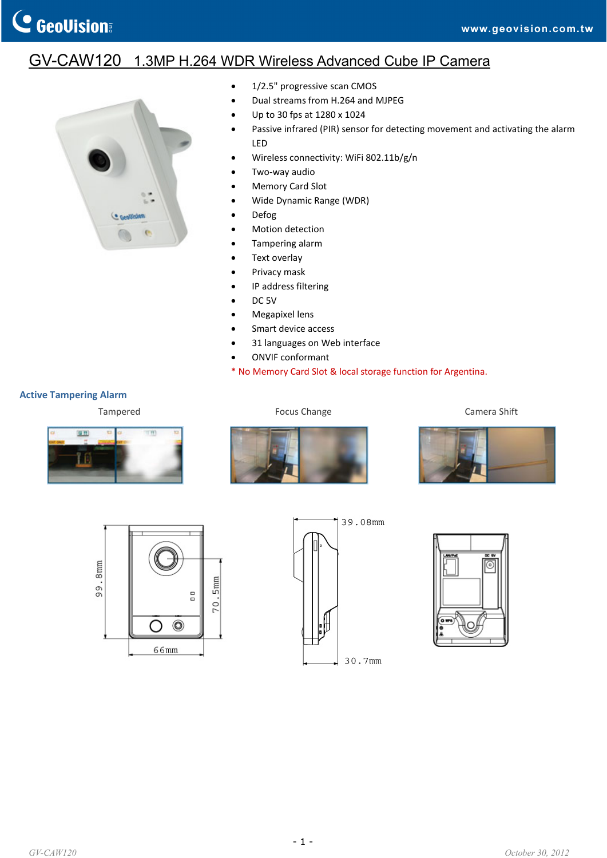## GV-CAW120 1.3MP H.264 WDR Wireless Advanced Cube IP Camera



- 1/2.5" progressive scan CMOS
- Dual streams from H.264 and MJPEG
- Up to 30 fps at 1280 x 1024
- Passive infrared (PIR) sensor for detecting movement and activating the alarm LED
- Wireless connectivity: WiFi 802.11b/g/n
- Two‐way audio
- Memory Card Slot
- Wide Dynamic Range (WDR)
- Defog
- Motion detection
- Tampering alarm
- Text overlay
- Privacy mask
- IP address filtering
- DC<sub>5V</sub>
- Megapixel lens
- Smart device access
- 31 languages on Web interface
- ONVIF conformant
- \* No Memory Card Slot & local storage function for Argentina.

## **Active Tampering Alarm**



Tampered Tampered **Focus Change Focus Change Camera Shift** 











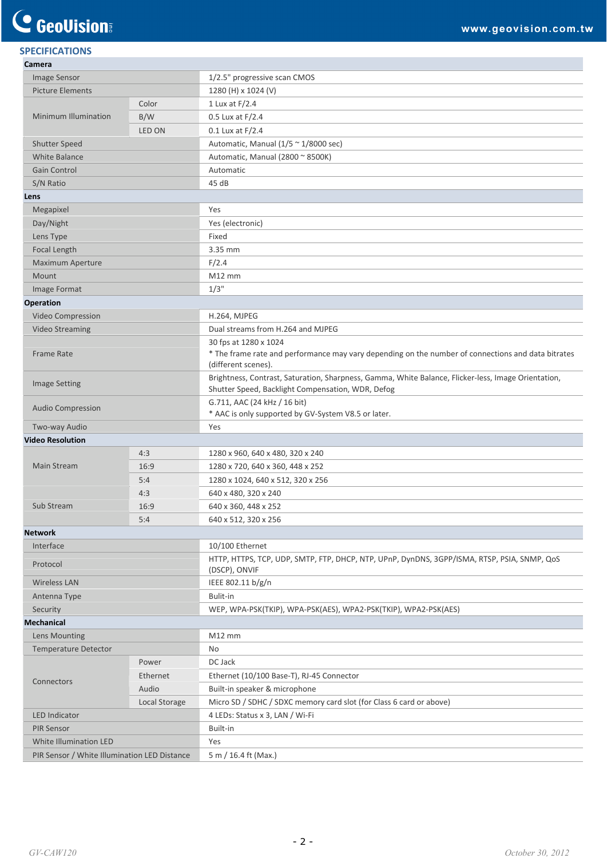## **SPECIFICATIONS**

| Camera                                       |               |                                                                                                                                                          |
|----------------------------------------------|---------------|----------------------------------------------------------------------------------------------------------------------------------------------------------|
| Image Sensor                                 |               | 1/2.5" progressive scan CMOS                                                                                                                             |
| <b>Picture Elements</b>                      |               | 1280 (H) x 1024 (V)                                                                                                                                      |
| Minimum Illumination                         | Color         | 1 Lux at F/2.4                                                                                                                                           |
|                                              | B/W           | 0.5 Lux at F/2.4                                                                                                                                         |
|                                              | LED ON        | $0.1$ Lux at $F/2.4$                                                                                                                                     |
| <b>Shutter Speed</b>                         |               | Automatic, Manual ( $1/5 \approx 1/8000$ sec)                                                                                                            |
| <b>White Balance</b>                         |               | Automatic, Manual (2800 ~ 8500K)                                                                                                                         |
| Gain Control                                 |               | Automatic                                                                                                                                                |
| S/N Ratio                                    |               | 45 dB                                                                                                                                                    |
| Lens                                         |               |                                                                                                                                                          |
| Megapixel                                    |               | Yes                                                                                                                                                      |
| Day/Night                                    |               | Yes (electronic)                                                                                                                                         |
| Lens Type                                    |               | Fixed                                                                                                                                                    |
| Focal Length                                 |               | 3.35 mm                                                                                                                                                  |
| Maximum Aperture                             |               | F/2.4                                                                                                                                                    |
| Mount                                        |               | $M12$ mm                                                                                                                                                 |
| Image Format                                 |               | $1/3$ "                                                                                                                                                  |
| <b>Operation</b>                             |               |                                                                                                                                                          |
| Video Compression                            |               | H.264, MJPEG                                                                                                                                             |
| <b>Video Streaming</b>                       |               | Dual streams from H.264 and MJPEG                                                                                                                        |
| Frame Rate                                   |               | 30 fps at 1280 x 1024<br>* The frame rate and performance may vary depending on the number of connections and data bitrates<br>(different scenes).       |
| <b>Image Setting</b>                         |               | Brightness, Contrast, Saturation, Sharpness, Gamma, White Balance, Flicker-less, Image Orientation,<br>Shutter Speed, Backlight Compensation, WDR, Defog |
| <b>Audio Compression</b>                     |               | G.711, AAC (24 kHz / 16 bit)<br>* AAC is only supported by GV-System V8.5 or later.                                                                      |
| Two-way Audio                                |               | Yes                                                                                                                                                      |
| <b>Video Resolution</b>                      |               |                                                                                                                                                          |
| <b>Main Stream</b>                           | 4:3           | 1280 x 960, 640 x 480, 320 x 240                                                                                                                         |
|                                              | 16:9          | 1280 x 720, 640 x 360, 448 x 252                                                                                                                         |
|                                              | 5:4           | 1280 x 1024, 640 x 512, 320 x 256                                                                                                                        |
| Sub Stream                                   | 4:3           | 640 x 480, 320 x 240                                                                                                                                     |
|                                              | 16:9          | 640 x 360, 448 x 252                                                                                                                                     |
|                                              | 5:4           | 640 x 512, 320 x 256                                                                                                                                     |
| <b>Network</b>                               |               |                                                                                                                                                          |
| Interface                                    |               | 10/100 Ethernet                                                                                                                                          |
| Protocol                                     |               | HTTP, HTTPS, TCP, UDP, SMTP, FTP, DHCP, NTP, UPnP, DynDNS, 3GPP/ISMA, RTSP, PSIA, SNMP, QOS<br>(DSCP), ONVIF                                             |
| <b>Wireless LAN</b>                          |               | IEEE 802.11 b/g/n                                                                                                                                        |
| Antenna Type                                 |               | Bulit-in                                                                                                                                                 |
| Security                                     |               | WEP, WPA-PSK(TKIP), WPA-PSK(AES), WPA2-PSK(TKIP), WPA2-PSK(AES)                                                                                          |
| <b>Mechanical</b>                            |               |                                                                                                                                                          |
| Lens Mounting                                |               | $M12$ mm                                                                                                                                                 |
| <b>Temperature Detector</b>                  |               | No                                                                                                                                                       |
|                                              | Power         | DC Jack                                                                                                                                                  |
|                                              | Ethernet      | Ethernet (10/100 Base-T), RJ-45 Connector                                                                                                                |
| Connectors                                   | Audio         | Built-in speaker & microphone                                                                                                                            |
|                                              | Local Storage | Micro SD / SDHC / SDXC memory card slot (for Class 6 card or above)                                                                                      |
| <b>LED Indicator</b>                         |               | 4 LEDs: Status x 3, LAN / Wi-Fi                                                                                                                          |
| <b>PIR Sensor</b>                            |               | Built-in                                                                                                                                                 |
| White Illumination LED                       |               | Yes                                                                                                                                                      |
| PIR Sensor / White Illumination LED Distance |               | 5 m / 16.4 ft (Max.)                                                                                                                                     |